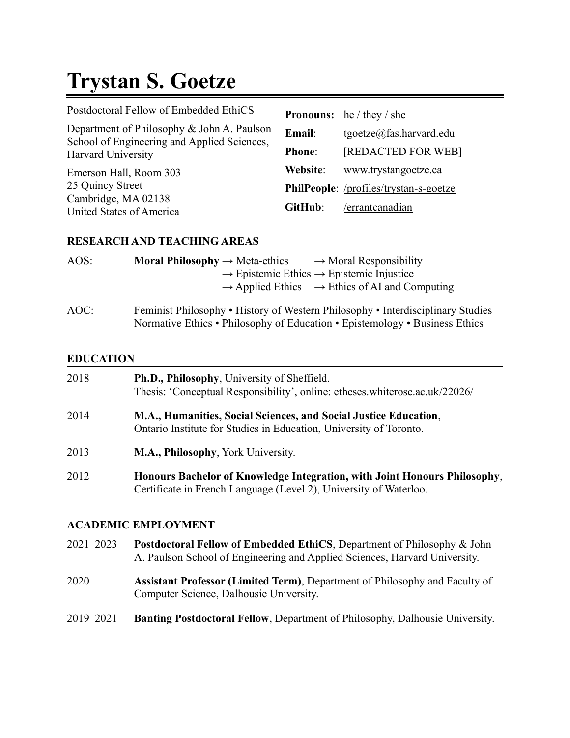# **Trystan S. Goetze**

| Postdoctoral Fellow of Embedded EthiCS                                                    |               | <b>Pronouns:</b> he / they / she       |
|-------------------------------------------------------------------------------------------|---------------|----------------------------------------|
| Department of Philosophy & John A. Paulson<br>School of Engineering and Applied Sciences, | Email:        | tgoetze@fas.harvard.edu                |
| Harvard University                                                                        | <b>Phone:</b> | [REDACTED FOR WEB]                     |
| Emerson Hall, Room 303                                                                    | Website:      | www.trystangoetze.ca                   |
| 25 Quincy Street                                                                          |               | PhilPeople: /profiles/trystan-s-goetze |
| Cambridge, MA 02138<br>United States of America                                           | GitHub:       | /errantcanadian                        |

# **RESEARCH AND TEACHING AREAS**

| AOS: | <b>Moral Philosophy</b> $\rightarrow$ Meta-ethics<br>$\rightarrow$ Moral Responsibility<br>$\rightarrow$ Epistemic Ethics $\rightarrow$ Epistemic Injustice<br>$\rightarrow$ Applied Ethics $\rightarrow$ Ethics of AI and Computing |
|------|--------------------------------------------------------------------------------------------------------------------------------------------------------------------------------------------------------------------------------------|
| AOC: | Feminist Philosophy • History of Western Philosophy • Interdisciplinary Studies                                                                                                                                                      |

Normative Ethics • Philosophy of Education • Epistemology • Business Ethics

## **EDUCATION**

| 2018 | Ph.D., Philosophy, University of Sheffield.<br>Thesis: 'Conceptual Responsibility', online: etheses.whiterose.ac.uk/22026/                     |
|------|------------------------------------------------------------------------------------------------------------------------------------------------|
| 2014 | M.A., Humanities, Social Sciences, and Social Justice Education,<br>Ontario Institute for Studies in Education, University of Toronto.         |
| 2013 | M.A., Philosophy, York University.                                                                                                             |
| 2012 | Honours Bachelor of Knowledge Integration, with Joint Honours Philosophy,<br>Certificate in French Language (Level 2), University of Waterloo. |

# **ACADEMIC EMPLOYMENT**

| $2021 - 2023$ | <b>Postdoctoral Fellow of Embedded EthiCS, Department of Philosophy &amp; John</b><br>A. Paulson School of Engineering and Applied Sciences, Harvard University. |
|---------------|------------------------------------------------------------------------------------------------------------------------------------------------------------------|
| 2020          | Assistant Professor (Limited Term), Department of Philosophy and Faculty of<br>Computer Science, Dalhousie University.                                           |
| 2019-2021     | <b>Banting Postdoctoral Fellow, Department of Philosophy, Dalhousie University.</b>                                                                              |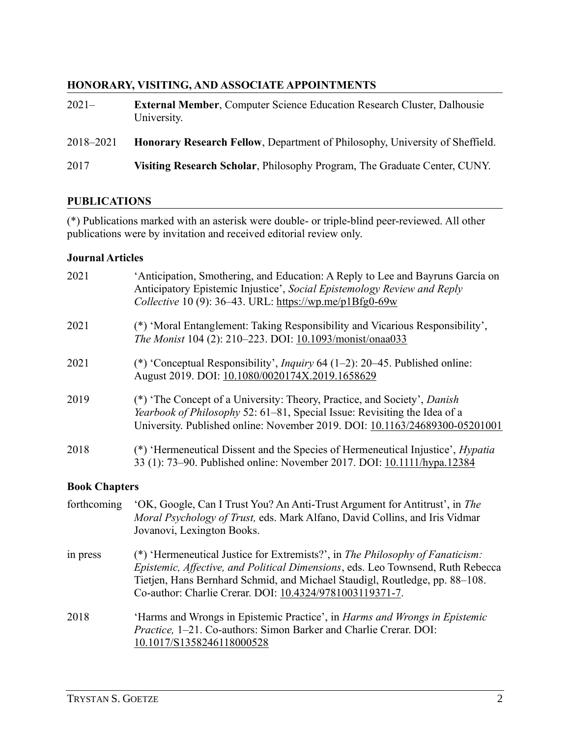# **HONORARY, VISITING, AND ASSOCIATE APPOINTMENTS**

| $2021-$   | <b>External Member, Computer Science Education Research Cluster, Dalhousie</b><br>University. |
|-----------|-----------------------------------------------------------------------------------------------|
| 2018–2021 | <b>Honorary Research Fellow, Department of Philosophy, University of Sheffield.</b>           |
| 2017      | Visiting Research Scholar, Philosophy Program, The Graduate Center, CUNY.                     |

## **PUBLICATIONS**

(\*) Publications marked with an asterisk were double- or triple-blind peer-reviewed. All other publications were by invitation and received editorial review only.

## **Journal Articles**

| 2021 | 'Anticipation, Smothering, and Education: A Reply to Lee and Bayruns García on<br>Anticipatory Epistemic Injustice', Social Epistemology Review and Reply<br>Collective 10 (9): 36–43. URL: https://wp.me/p1Bfg0-69w                        |
|------|---------------------------------------------------------------------------------------------------------------------------------------------------------------------------------------------------------------------------------------------|
| 2021 | (*) 'Moral Entanglement: Taking Responsibility and Vicarious Responsibility',<br>The Monist 104 (2): 210-223. DOI: 10.1093/monist/onaa033                                                                                                   |
| 2021 | (*) 'Conceptual Responsibility', <i>Inquiry</i> 64 (1–2): 20–45. Published online:<br>August 2019. DOI: 10.1080/0020174X.2019.1658629                                                                                                       |
| 2019 | (*) 'The Concept of a University: Theory, Practice, and Society', Danish<br><i>Yearbook of Philosophy</i> 52: 61–81, Special Issue: Revisiting the Idea of a<br>University. Published online: November 2019. DOI: 10.1163/24689300-05201001 |
| 2018 | (*) 'Hermeneutical Dissent and the Species of Hermeneutical Injustice', <i>Hypatia</i><br>33 (1): 73–90. Published online: November 2017. DOI: 10.1111/hypa.12384                                                                           |

#### **Book Chapters**

| forthcoming | 'OK, Google, Can I Trust You? An Anti-Trust Argument for Antitrust', in The<br>Moral Psychology of Trust, eds. Mark Alfano, David Collins, and Iris Vidmar<br>Jovanovi, Lexington Books.                                                                                                                    |
|-------------|-------------------------------------------------------------------------------------------------------------------------------------------------------------------------------------------------------------------------------------------------------------------------------------------------------------|
| in press    | (*) 'Hermeneutical Justice for Extremists?', in The Philosophy of Fanaticism:<br>Epistemic, Affective, and Political Dimensions, eds. Leo Townsend, Ruth Rebecca<br>Tietjen, Hans Bernhard Schmid, and Michael Staudigl, Routledge, pp. 88–108.<br>Co-author: Charlie Crerar. DOI: 10.4324/9781003119371-7. |
| 2018        | 'Harms and Wrongs in Epistemic Practice', in <i>Harms and Wrongs in Epistemic</i><br>Practice, 1-21. Co-authors: Simon Barker and Charlie Crerar. DOI:<br>10.1017/S1358246118000528                                                                                                                         |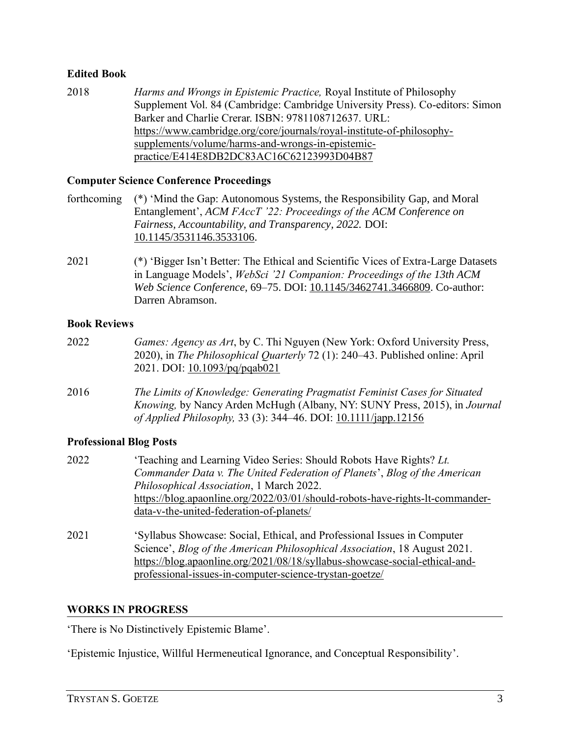# **Edited Book**

2018 *Harms and Wrongs in Epistemic Practice,* Royal Institute of Philosophy Supplement Vol. 84 (Cambridge: Cambridge University Press). Co-editors: Simon Barker and Charlie Crerar. ISBN: 9781108712637. URL: [https://www.cambridge.org/core/journals/royal-institute-of-philosophy](https://www.cambridge.org/core/journals/royal-institute-of-philosophy-supplements/volume/harms-and-wrongs-in-epistemic-practice/E414E8DB2DC83AC16C62123993D04B87)[supplements/volume/harms-and-wrongs-in-epistemic](https://www.cambridge.org/core/journals/royal-institute-of-philosophy-supplements/volume/harms-and-wrongs-in-epistemic-practice/E414E8DB2DC83AC16C62123993D04B87)[practice/E414E8DB2DC83AC16C62123993D04B87](https://www.cambridge.org/core/journals/royal-institute-of-philosophy-supplements/volume/harms-and-wrongs-in-epistemic-practice/E414E8DB2DC83AC16C62123993D04B87)

## **Computer Science Conference Proceedings**

| forthcoming (*) 'Mind the Gap: Autonomous Systems, the Responsibility Gap, and Moral |
|--------------------------------------------------------------------------------------|
| Entanglement', ACM FAccT '22: Proceedings of the ACM Conference on                   |
| <i>Fairness, Accountability, and Transparency, 2022. DOI:</i>                        |
| 10.1145/3531146.3533106.                                                             |

2021 (\*) 'Bigger Isn't Better: The Ethical and Scientific Vices of Extra-Large Datasets in Language Models', *WebSci '21 Companion: Proceedings of the 13th ACM Web Science Conference*, 69–75. DOI: [10.1145/3462741.3466809.](https://doi.org/10.1145/3462741.3466809) Co-author: Darren Abramson.

#### **Book Reviews**

| 2022 | <i>Games: Agency as Art</i> , by C. Thi Nguyen (New York: Oxford University Press,<br>2020), in The Philosophical Quarterly 72 (1): 240–43. Published online: April<br>2021. DOI: 10.1093/pq/pqab021                      |
|------|---------------------------------------------------------------------------------------------------------------------------------------------------------------------------------------------------------------------------|
| 2016 | The Limits of Knowledge: Generating Pragmatist Feminist Cases for Situated<br>Knowing, by Nancy Arden McHugh (Albany, NY: SUNY Press, 2015), in Journal<br>of Applied Philosophy, 33 (3): 344–46. DOI: 10.1111/japp.12156 |

## **Professional Blog Posts**

| 2022 | 'Teaching and Learning Video Series: Should Robots Have Rights? Lt.               |
|------|-----------------------------------------------------------------------------------|
|      | Commander Data v. The United Federation of Planets', Blog of the American         |
|      | Philosophical Association, 1 March 2022.                                          |
|      | https://blog.apaonline.org/2022/03/01/should-robots-have-rights-lt-commander-     |
|      | data-v-the-united-federation-of-planets/                                          |
| 2021 | 'Syllabus Showcase: Social, Ethical, and Professional Issues in Computer          |
|      | Science', <i>Blog of the American Philosophical Association</i> , 18 August 2021. |
|      | https://blog.apaonline.org/2021/08/18/syllabus-showcase-social-ethical-and-       |
|      | professional-issues-in-computer-science-trystan-goetze/                           |

## **WORKS IN PROGRESS**

'There is No Distinctively Epistemic Blame'.

'Epistemic Injustice, Willful Hermeneutical Ignorance, and Conceptual Responsibility'.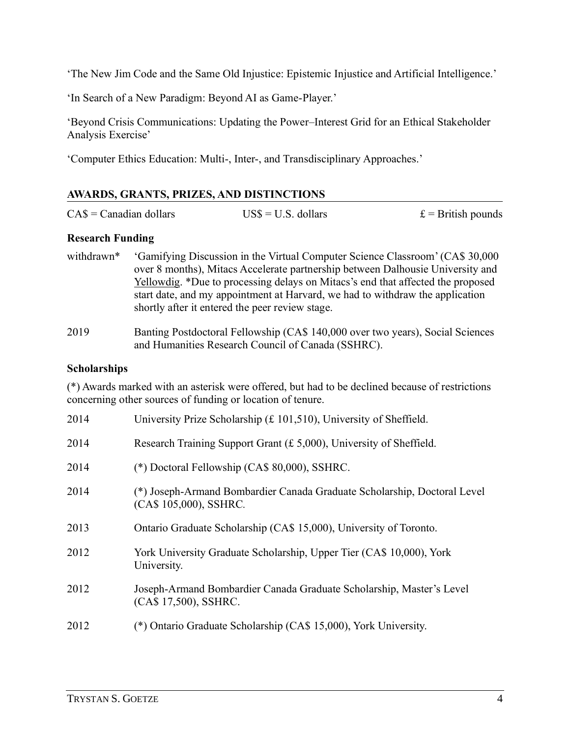'The New Jim Code and the Same Old Injustice: Epistemic Injustice and Artificial Intelligence.'

'In Search of a New Paradigm: Beyond AI as Game-Player.'

'Beyond Crisis Communications: Updating the Power–Interest Grid for an Ethical Stakeholder Analysis Exercise'

'Computer Ethics Education: Multi-, Inter-, and Transdisciplinary Approaches.'

# **AWARDS, GRANTS, PRIZES, AND DISTINCTIONS**

| $CAS = Canadian dollars$ | $USS = U.S.$ dollars | $\mathbf{E} =$ British pounds |
|--------------------------|----------------------|-------------------------------|
|--------------------------|----------------------|-------------------------------|

## **Research Funding**

- withdrawn\* 'Gamifying Discussion in the Virtual Computer Science Classroom' (CA\$ 30,000 over 8 months), Mitacs Accelerate partnership between Dalhousie University and [Yellowdig.](https://yellowdig.co/) \*Due to processing delays on Mitacs's end that affected the proposed start date, and my appointment at Harvard, we had to withdraw the application shortly after it entered the peer review stage.
- 2019 Banting Postdoctoral Fellowship (CA\$ 140,000 over two years), Social Sciences and Humanities Research Council of Canada (SSHRC).

## **Scholarships**

(\*) Awards marked with an asterisk were offered, but had to be declined because of restrictions concerning other sources of funding or location of tenure.

| 2014 | University Prize Scholarship (£ 101,510), University of Sheffield.                                 |
|------|----------------------------------------------------------------------------------------------------|
| 2014 | Research Training Support Grant $(f, 5,000)$ , University of Sheffield.                            |
| 2014 | (*) Doctoral Fellowship ( $CAS 80,000$ ), SSHRC.                                                   |
| 2014 | (*) Joseph-Armand Bombardier Canada Graduate Scholarship, Doctoral Level<br>(CA\$ 105,000), SSHRC. |
| 2013 | Ontario Graduate Scholarship (CA\$ 15,000), University of Toronto.                                 |
| 2012 | York University Graduate Scholarship, Upper Tier (CA\$ 10,000), York<br>University.                |
| 2012 | Joseph-Armand Bombardier Canada Graduate Scholarship, Master's Level<br>(CA\$ 17,500), SSHRC.      |
| 2012 | (*) Ontario Graduate Scholarship (CA\$ 15,000), York University.                                   |
|      |                                                                                                    |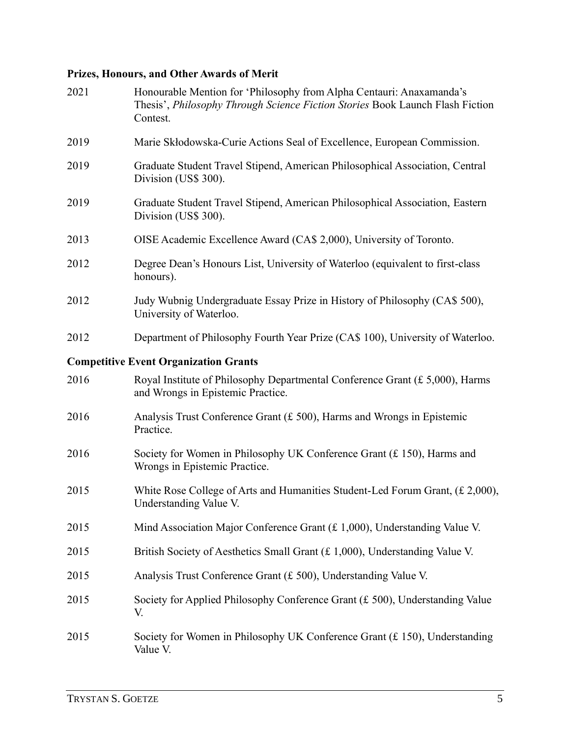# **Prizes, Honours, and Other Awards of Merit**

| 2021 | Honourable Mention for 'Philosophy from Alpha Centauri: Anaxamanda's<br>Thesis', Philosophy Through Science Fiction Stories Book Launch Flash Fiction<br>Contest. |
|------|-------------------------------------------------------------------------------------------------------------------------------------------------------------------|
| 2019 | Marie Skłodowska-Curie Actions Seal of Excellence, European Commission.                                                                                           |
| 2019 | Graduate Student Travel Stipend, American Philosophical Association, Central<br>Division (US\$ 300).                                                              |
| 2019 | Graduate Student Travel Stipend, American Philosophical Association, Eastern<br>Division (US\$ 300).                                                              |
| 2013 | OISE Academic Excellence Award (CA\$ 2,000), University of Toronto.                                                                                               |
| 2012 | Degree Dean's Honours List, University of Waterloo (equivalent to first-class<br>honours).                                                                        |
| 2012 | Judy Wubnig Undergraduate Essay Prize in History of Philosophy (CA\$ 500),<br>University of Waterloo.                                                             |
| 2012 | Department of Philosophy Fourth Year Prize (CA\$ 100), University of Waterloo.                                                                                    |
|      | <b>Competitive Event Organization Grants</b>                                                                                                                      |
| 2016 | Royal Institute of Philosophy Departmental Conference Grant $(E 5,000)$ , Harms<br>and Wrongs in Epistemic Practice.                                              |
| 2016 | Analysis Trust Conference Grant $(f. 500)$ , Harms and Wrongs in Epistemic<br>Practice.                                                                           |
| 2016 | Society for Women in Philosophy UK Conference Grant (£150), Harms and<br>Wrongs in Epistemic Practice.                                                            |
| 2015 | White Rose College of Arts and Humanities Student-Led Forum Grant, (£ 2,000),<br>Understanding Value V.                                                           |
| 2015 | Mind Association Major Conference Grant (£ 1,000), Understanding Value V.                                                                                         |
| 2015 | British Society of Aesthetics Small Grant (£ 1,000), Understanding Value V.                                                                                       |
| 2015 | Analysis Trust Conference Grant (£ 500), Understanding Value V.                                                                                                   |
| 2015 | Society for Applied Philosophy Conference Grant $(f 500)$ , Understanding Value<br>V.                                                                             |
| 2015 | Society for Women in Philosophy UK Conference Grant $(f. 150)$ , Understanding<br>Value V.                                                                        |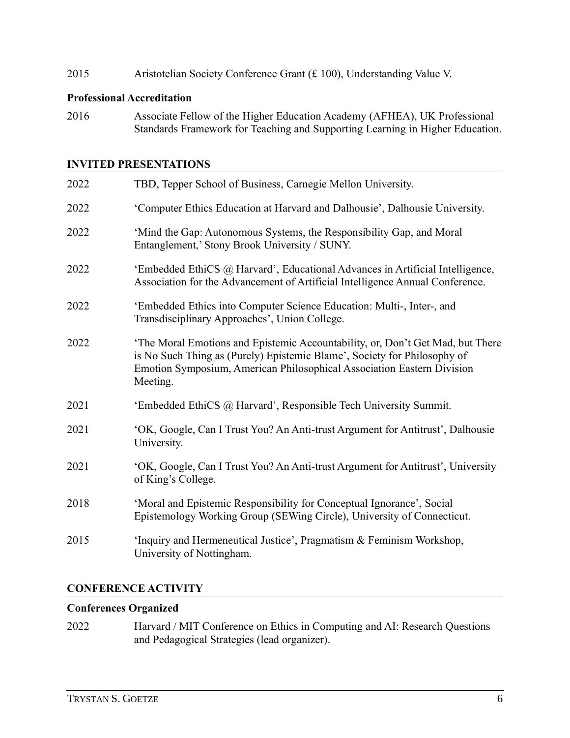2015 Aristotelian Society Conference Grant (£ 100), Understanding Value V.

#### **Professional Accreditation**

2016 Associate Fellow of the Higher Education Academy (AFHEA), UK Professional Standards Framework for Teaching and Supporting Learning in Higher Education.

## **INVITED PRESENTATIONS**

| 2022 | TBD, Tepper School of Business, Carnegie Mellon University.                                                                                                                                                                                      |
|------|--------------------------------------------------------------------------------------------------------------------------------------------------------------------------------------------------------------------------------------------------|
| 2022 | 'Computer Ethics Education at Harvard and Dalhousie', Dalhousie University.                                                                                                                                                                      |
| 2022 | 'Mind the Gap: Autonomous Systems, the Responsibility Gap, and Moral<br>Entanglement,' Stony Brook University / SUNY.                                                                                                                            |
| 2022 | 'Embedded EthiCS @ Harvard', Educational Advances in Artificial Intelligence,<br>Association for the Advancement of Artificial Intelligence Annual Conference.                                                                                   |
| 2022 | 'Embedded Ethics into Computer Science Education: Multi-, Inter-, and<br>Transdisciplinary Approaches', Union College.                                                                                                                           |
| 2022 | 'The Moral Emotions and Epistemic Accountability, or, Don't Get Mad, but There<br>is No Such Thing as (Purely) Epistemic Blame', Society for Philosophy of<br>Emotion Symposium, American Philosophical Association Eastern Division<br>Meeting. |
| 2021 | 'Embedded EthiCS @ Harvard', Responsible Tech University Summit.                                                                                                                                                                                 |
| 2021 | 'OK, Google, Can I Trust You? An Anti-trust Argument for Antitrust', Dalhousie<br>University.                                                                                                                                                    |
| 2021 | 'OK, Google, Can I Trust You? An Anti-trust Argument for Antitrust', University<br>of King's College.                                                                                                                                            |
| 2018 | 'Moral and Epistemic Responsibility for Conceptual Ignorance', Social<br>Epistemology Working Group (SEWing Circle), University of Connecticut.                                                                                                  |
| 2015 | 'Inquiry and Hermeneutical Justice', Pragmatism & Feminism Workshop,<br>University of Nottingham.                                                                                                                                                |

## **CONFERENCE ACTIVITY**

#### **Conferences Organized**

2022 Harvard / MIT Conference on Ethics in Computing and AI: Research Questions and Pedagogical Strategies (lead organizer).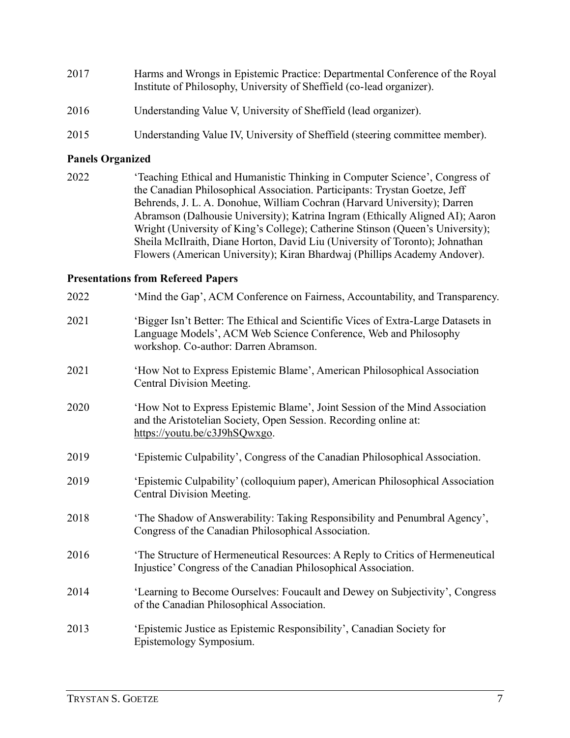| 2017 | Harms and Wrongs in Epistemic Practice: Departmental Conference of the Royal<br>Institute of Philosophy, University of Sheffield (co-lead organizer). |
|------|-------------------------------------------------------------------------------------------------------------------------------------------------------|
| 2016 | Understanding Value V, University of Sheffield (lead organizer).                                                                                      |

2015 Understanding Value IV, University of Sheffield (steering committee member).

#### **Panels Organized**

2022 'Teaching Ethical and Humanistic Thinking in Computer Science', Congress of the Canadian Philosophical Association. Participants: Trystan Goetze, Jeff Behrends, J. L. A. Donohue, William Cochran (Harvard University); Darren Abramson (Dalhousie University); Katrina Ingram (Ethically Aligned AI); Aaron Wright (University of King's College); Catherine Stinson (Queen's University); Sheila McIlraith, Diane Horton, David Liu (University of Toronto); Johnathan Flowers (American University); Kiran Bhardwaj (Phillips Academy Andover).

#### **Presentations from Refereed Papers**

| 2022 | 'Mind the Gap', ACM Conference on Fairness, Accountability, and Transparency.                                                                                                                  |
|------|------------------------------------------------------------------------------------------------------------------------------------------------------------------------------------------------|
| 2021 | 'Bigger Isn't Better: The Ethical and Scientific Vices of Extra-Large Datasets in<br>Language Models', ACM Web Science Conference, Web and Philosophy<br>workshop. Co-author: Darren Abramson. |
| 2021 | 'How Not to Express Epistemic Blame', American Philosophical Association<br>Central Division Meeting.                                                                                          |
| 2020 | 'How Not to Express Epistemic Blame', Joint Session of the Mind Association<br>and the Aristotelian Society, Open Session. Recording online at:<br>https://youtu.be/c3J9hSQwxgo.               |
| 2019 | 'Epistemic Culpability', Congress of the Canadian Philosophical Association.                                                                                                                   |
| 2019 | 'Epistemic Culpability' (colloquium paper), American Philosophical Association<br>Central Division Meeting.                                                                                    |
| 2018 | 'The Shadow of Answerability: Taking Responsibility and Penumbral Agency',<br>Congress of the Canadian Philosophical Association.                                                              |
| 2016 | 'The Structure of Hermeneutical Resources: A Reply to Critics of Hermeneutical<br>Injustice' Congress of the Canadian Philosophical Association.                                               |
| 2014 | 'Learning to Become Ourselves: Foucault and Dewey on Subjectivity', Congress<br>of the Canadian Philosophical Association.                                                                     |
| 2013 | 'Epistemic Justice as Epistemic Responsibility', Canadian Society for<br>Epistemology Symposium.                                                                                               |
|      |                                                                                                                                                                                                |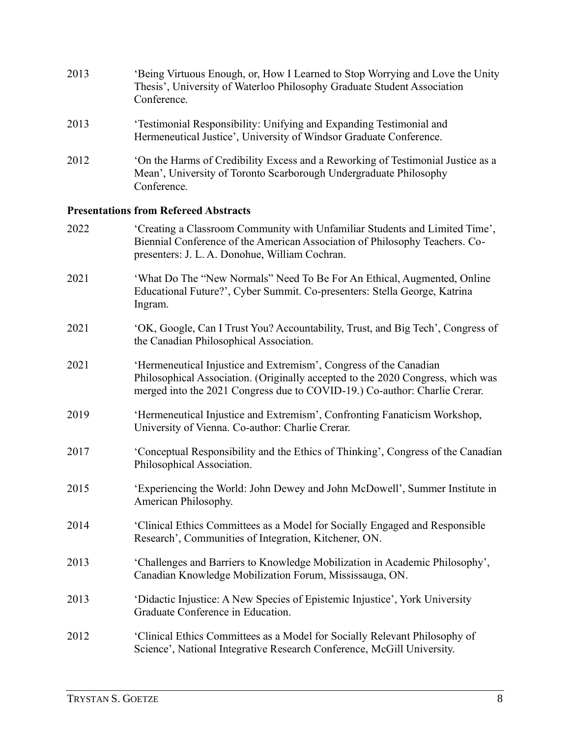| 2013 | 'Being Virtuous Enough, or, How I Learned to Stop Worrying and Love the Unity<br>Thesis', University of Waterloo Philosophy Graduate Student Association<br>Conference. |
|------|-------------------------------------------------------------------------------------------------------------------------------------------------------------------------|
| 2013 | 'Testimonial Responsibility: Unifying and Expanding Testimonial and<br>Hermeneutical Justice', University of Windsor Graduate Conference.                               |
| 2012 | On the Harms of Credibility Excess and a Reworking of Testimonial Justice as a<br>Mean', University of Toronto Scarborough Undergraduate Philosophy<br>Conference.      |

# **Presentations from Refereed Abstracts**

| 2022 | 'Creating a Classroom Community with Unfamiliar Students and Limited Time',<br>Biennial Conference of the American Association of Philosophy Teachers. Co-<br>presenters: J. L. A. Donohue, William Cochran.                       |
|------|------------------------------------------------------------------------------------------------------------------------------------------------------------------------------------------------------------------------------------|
| 2021 | 'What Do The "New Normals" Need To Be For An Ethical, Augmented, Online<br>Educational Future?', Cyber Summit. Co-presenters: Stella George, Katrina<br>Ingram.                                                                    |
| 2021 | 'OK, Google, Can I Trust You? Accountability, Trust, and Big Tech', Congress of<br>the Canadian Philosophical Association.                                                                                                         |
| 2021 | 'Hermeneutical Injustice and Extremism', Congress of the Canadian<br>Philosophical Association. (Originally accepted to the 2020 Congress, which was<br>merged into the 2021 Congress due to COVID-19.) Co-author: Charlie Crerar. |
| 2019 | 'Hermeneutical Injustice and Extremism', Confronting Fanaticism Workshop,<br>University of Vienna. Co-author: Charlie Crerar.                                                                                                      |
| 2017 | 'Conceptual Responsibility and the Ethics of Thinking', Congress of the Canadian<br>Philosophical Association.                                                                                                                     |
| 2015 | 'Experiencing the World: John Dewey and John McDowell', Summer Institute in<br>American Philosophy.                                                                                                                                |
| 2014 | 'Clinical Ethics Committees as a Model for Socially Engaged and Responsible<br>Research', Communities of Integration, Kitchener, ON.                                                                                               |
| 2013 | 'Challenges and Barriers to Knowledge Mobilization in Academic Philosophy',<br>Canadian Knowledge Mobilization Forum, Mississauga, ON.                                                                                             |
| 2013 | 'Didactic Injustice: A New Species of Epistemic Injustice', York University<br>Graduate Conference in Education.                                                                                                                   |
| 2012 | 'Clinical Ethics Committees as a Model for Socially Relevant Philosophy of<br>Science', National Integrative Research Conference, McGill University.                                                                               |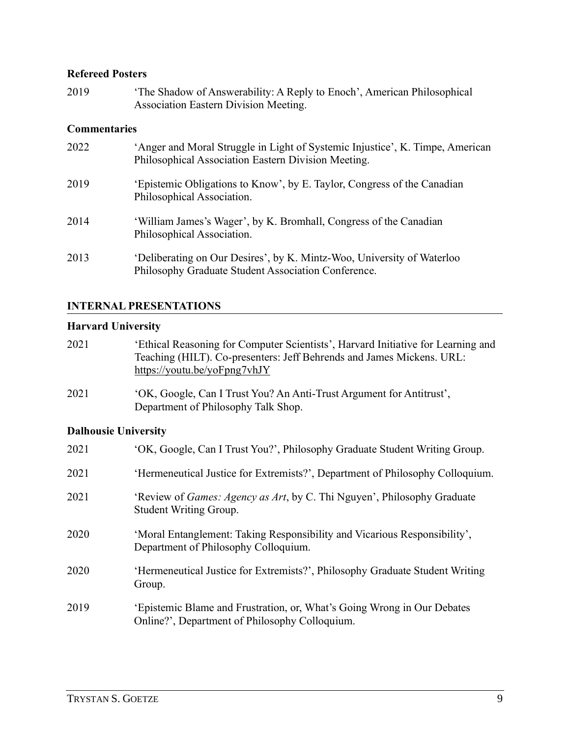## **Refereed Posters**

2019 'The Shadow of Answerability: A Reply to Enoch', American Philosophical Association Eastern Division Meeting.

## **Commentaries**

| 2022 | 'Anger and Moral Struggle in Light of Systemic Injustice', K. Timpe, American<br>Philosophical Association Eastern Division Meeting. |
|------|--------------------------------------------------------------------------------------------------------------------------------------|
| 2019 | 'Epistemic Obligations to Know', by E. Taylor, Congress of the Canadian<br>Philosophical Association.                                |
| 2014 | 'William James's Wager', by K. Bromhall, Congress of the Canadian<br>Philosophical Association.                                      |
| 2013 | 'Deliberating on Our Desires', by K. Mintz-Woo, University of Waterloo<br>Philosophy Graduate Student Association Conference.        |

#### **INTERNAL PRESENTATIONS**

## **Harvard University**

| 2021 | 'Ethical Reasoning for Computer Scientists', Harvard Initiative for Learning and |
|------|----------------------------------------------------------------------------------|
|      | Teaching (HILT). Co-presenters: Jeff Behrends and James Mickens. URL:            |
|      | https://youtu.be/yoFpng7vhJY                                                     |

2021 'OK, Google, Can I Trust You? An Anti-Trust Argument for Antitrust', Department of Philosophy Talk Shop.

# **Dalhousie University**

| 2021 | 'OK, Google, Can I Trust You?', Philosophy Graduate Student Writing Group.                                                |
|------|---------------------------------------------------------------------------------------------------------------------------|
| 2021 | 'Hermeneutical Justice for Extremists?', Department of Philosophy Colloquium.                                             |
| 2021 | 'Review of <i>Games: Agency as Art</i> , by C. Thi Nguyen', Philosophy Graduate<br>Student Writing Group.                 |
| 2020 | 'Moral Entanglement: Taking Responsibility and Vicarious Responsibility',<br>Department of Philosophy Colloquium.         |
| 2020 | 'Hermeneutical Justice for Extremists?', Philosophy Graduate Student Writing<br>Group.                                    |
| 2019 | 'Epistemic Blame and Frustration, or, What's Going Wrong in Our Debates<br>Online?', Department of Philosophy Colloquium. |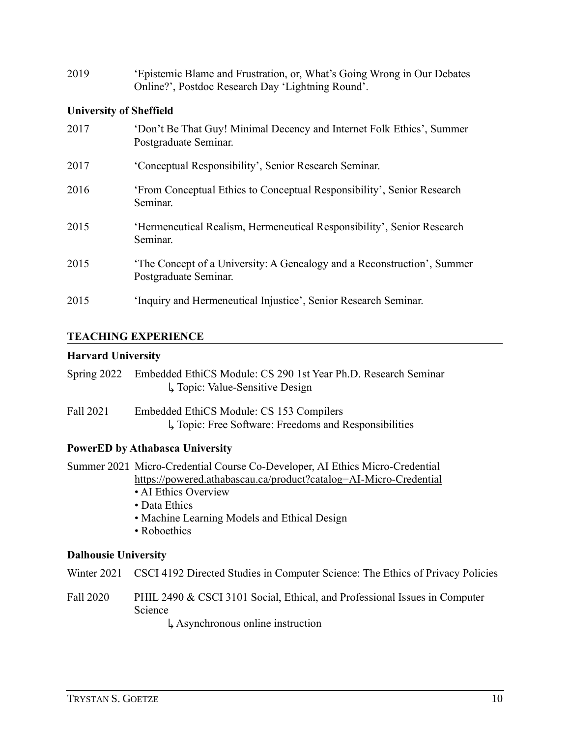| 2019 | 'Epistemic Blame and Frustration, or, What's Going Wrong in Our Debates |
|------|-------------------------------------------------------------------------|
|      | Online?', Postdoc Research Day 'Lightning Round'.                       |

# **University of Sheffield**

| 2017 | 'Don't Be That Guy! Minimal Decency and Internet Folk Ethics', Summer<br>Postgraduate Seminar.   |
|------|--------------------------------------------------------------------------------------------------|
| 2017 | 'Conceptual Responsibility', Senior Research Seminar.                                            |
| 2016 | 'From Conceptual Ethics to Conceptual Responsibility', Senior Research<br>Seminar.               |
| 2015 | 'Hermeneutical Realism, Hermeneutical Responsibility', Senior Research<br>Seminar.               |
| 2015 | 'The Concept of a University: A Genealogy and a Reconstruction', Summer<br>Postgraduate Seminar. |
| 2015 | 'Inquiry and Hermeneutical Injustice', Senior Research Seminar.                                  |

#### **TEACHING EXPERIENCE**

# **Harvard University**

| Spring 2022 Embedded EthiCS Module: CS 290 1st Year Ph.D. Research Seminar |
|----------------------------------------------------------------------------|
| $\downarrow$ Topic: Value-Sensitive Design                                 |

Fall 2021 Embedded EthiCS Module: CS 153 Compilers ↳ Topic: Free Software: Freedoms and Responsibilities

# **PowerED by Athabasca University**

|                             | Summer 2021 Micro-Credential Course Co-Developer, AI Ethics Micro-Credential               |  |
|-----------------------------|--------------------------------------------------------------------------------------------|--|
|                             | https://powered.athabascau.ca/product?catalog=AI-Micro-Credential                          |  |
|                             | • AI Ethics Overview                                                                       |  |
|                             | • Data Ethics                                                                              |  |
|                             | • Machine Learning Models and Ethical Design                                               |  |
|                             | • Roboethics                                                                               |  |
| <b>Dalhousie University</b> |                                                                                            |  |
|                             | Winter 2021 CSCI 4192 Directed Studies in Computer Science: The Ethics of Privacy Policies |  |
| Fall 2020                   | PHIL 2490 & CSCI 3101 Social, Ethical, and Professional Issues in Computer<br>Science      |  |

↳ Asynchronous online instruction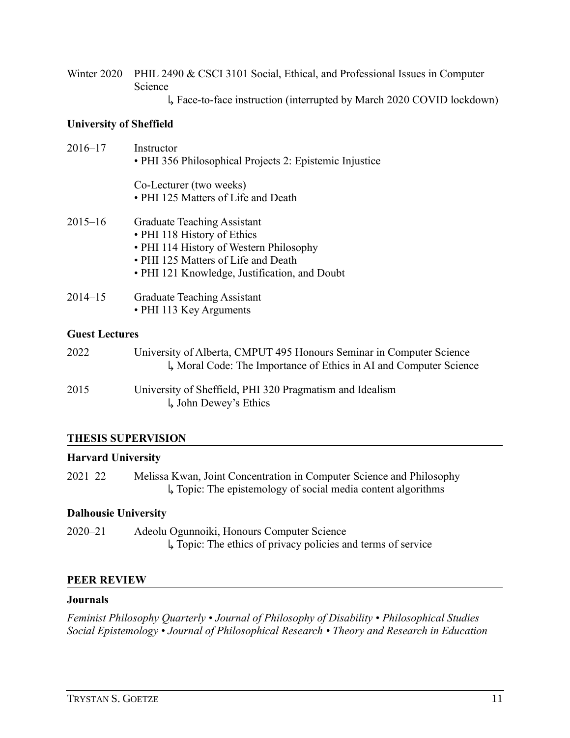- Winter 2020 PHIL 2490 & CSCI 3101 Social, Ethical, and Professional Issues in Computer Science
	- ↳ Face-to-face instruction (interrupted by March 2020 COVID lockdown)

# **University of Sheffield**

| $2016 - 17$ | Instructor<br>• PHI 356 Philosophical Projects 2: Epistemic Injustice                                                                                                                                |
|-------------|------------------------------------------------------------------------------------------------------------------------------------------------------------------------------------------------------|
|             | Co-Lecturer (two weeks)<br>• PHI 125 Matters of Life and Death                                                                                                                                       |
| $2015 - 16$ | <b>Graduate Teaching Assistant</b><br>• PHI 118 History of Ethics<br>• PHI 114 History of Western Philosophy<br>• PHI 125 Matters of Life and Death<br>• PHI 121 Knowledge, Justification, and Doubt |
| $2014 - 15$ | <b>Graduate Teaching Assistant</b><br>• PHI 113 Key Arguments                                                                                                                                        |

# **Guest Lectures**

| 2022 | University of Alberta, CMPUT 495 Honours Seminar in Computer Science<br>L, Moral Code: The Importance of Ethics in AI and Computer Science |
|------|--------------------------------------------------------------------------------------------------------------------------------------------|
| 2015 | University of Sheffield, PHI 320 Pragmatism and Idealism<br>$\downarrow$ John Dewey's Ethics                                               |

# **THESIS SUPERVISION**

# **Harvard University**

2021–22 Melissa Kwan, Joint Concentration in Computer Science and Philosophy ↳ Topic: The epistemology of social media content algorithms

# **Dalhousie University**

2020–21 Adeolu Ogunnoiki, Honours Computer Science ↳ Topic: The ethics of privacy policies and terms of service

# **PEER REVIEW**

## **Journals**

*Feminist Philosophy Quarterly • Journal of Philosophy of Disability* • *Philosophical Studies Social Epistemology • Journal of Philosophical Research • Theory and Research in Education*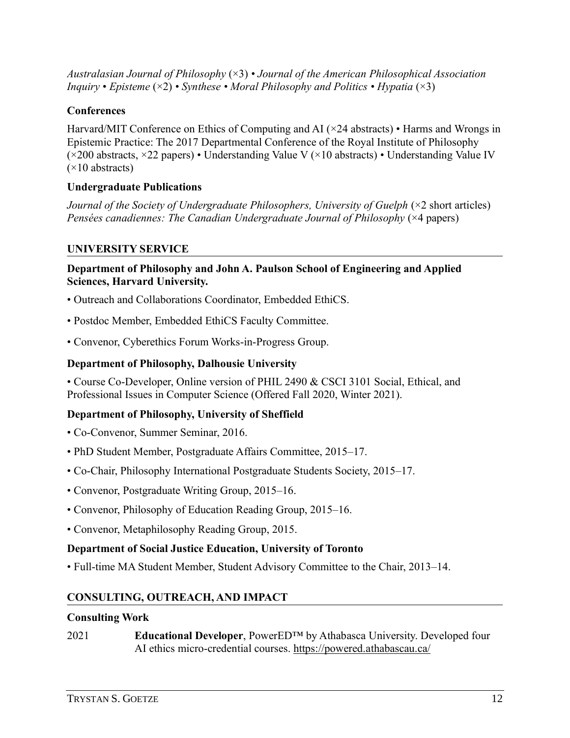*Australasian Journal of Philosophy* (×3) *• Journal of the American Philosophical Association Inquiry* • *Episteme*  $(\times 2)$  • *Synthese* • *Moral Philosophy and Politics* • *Hypatia*  $(\times 3)$ 

# **Conferences**

Harvard/MIT Conference on Ethics of Computing and AI (×24 abstracts) • Harms and Wrongs in Epistemic Practice: The 2017 Departmental Conference of the Royal Institute of Philosophy (×200 abstracts, ×22 papers) • Understanding Value V (×10 abstracts) • Understanding Value IV  $(x10$  abstracts)

# **Undergraduate Publications**

*Journal of the Society of Undergraduate Philosophers, University of Guelph* ( $\times$ 2 short articles) *Pensées canadiennes: The Canadian Undergraduate Journal of Philosophy* (×4 papers)

# **UNIVERSITY SERVICE**

# **Department of Philosophy and John A. Paulson School of Engineering and Applied Sciences, Harvard University.**

- Outreach and Collaborations Coordinator, Embedded EthiCS.
- Postdoc Member, Embedded EthiCS Faculty Committee.
- Convenor, Cyberethics Forum Works-in-Progress Group.

# **Department of Philosophy, Dalhousie University**

• Course Co-Developer, Online version of PHIL 2490 & CSCI 3101 Social, Ethical, and Professional Issues in Computer Science (Offered Fall 2020, Winter 2021).

# **Department of Philosophy, University of Sheffield**

- Co-Convenor, Summer Seminar, 2016.
- PhD Student Member, Postgraduate Affairs Committee, 2015–17.
- Co-Chair, Philosophy International Postgraduate Students Society, 2015–17.
- Convenor, Postgraduate Writing Group, 2015–16.
- Convenor, Philosophy of Education Reading Group, 2015–16.
- Convenor, Metaphilosophy Reading Group, 2015.

# **Department of Social Justice Education, University of Toronto**

• Full-time MA Student Member, Student Advisory Committee to the Chair, 2013–14.

# **CONSULTING, OUTREACH, AND IMPACT**

## **Consulting Work**

2021 **Educational Developer**, PowerED™ by Athabasca University. Developed four AI ethics micro-credential courses.<https://powered.athabascau.ca/>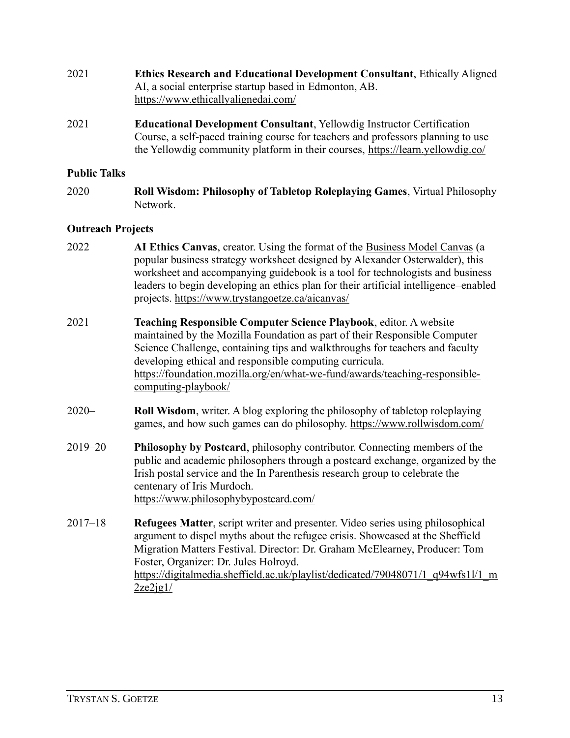- 2021 **Ethics Research and Educational Development Consultant**, Ethically Aligned AI, a social enterprise startup based in Edmonton, AB. <https://www.ethicallyalignedai.com/>
- 2021 **Educational Development Consultant**, Yellowdig Instructor Certification Course, a self-paced training course for teachers and professors planning to use the Yellowdig community platform in their courses,<https://learn.yellowdig.co/>

#### **Public Talks**

2020 **Roll Wisdom: Philosophy of Tabletop Roleplaying Games**, Virtual Philosophy Network.

#### **Outreach Projects**

- 2022 **AI Ethics Canvas**, creator. Using the format of the [Business Model Canvas](https://www.strategyzer.com/canvas) (a popular business strategy worksheet designed by Alexander Osterwalder), this worksheet and accompanying guidebook is a tool for technologists and business leaders to begin developing an ethics plan for their artificial intelligence–enabled projects.<https://www.trystangoetze.ca/aicanvas/>
- 2021– **Teaching Responsible Computer Science Playbook**, editor. A website maintained by the Mozilla Foundation as part of their Responsible Computer Science Challenge, containing tips and walkthroughs for teachers and faculty developing ethical and responsible computing curricula. [https://foundation.mozilla.org/en/what-we-fund/awards/teaching-responsible](https://foundation.mozilla.org/en/what-we-fund/awards/teaching-responsible-computing-playbook/)[computing-playbook/](https://foundation.mozilla.org/en/what-we-fund/awards/teaching-responsible-computing-playbook/)
- 2020– **Roll Wisdom**, writer. A blog exploring the philosophy of tabletop roleplaying games, and how such games can do philosophy.<https://www.rollwisdom.com/>
- 2019–20 **Philosophy by Postcard**, philosophy contributor. Connecting members of the public and academic philosophers through a postcard exchange, organized by the Irish postal service and the In Parenthesis research group to celebrate the centenary of Iris Murdoch. <https://www.philosophybypostcard.com/>
- 2017–18 **Refugees Matter**, script writer and presenter. Video series using philosophical argument to dispel myths about the refugee crisis. Showcased at the Sheffield Migration Matters Festival. Director: Dr. Graham McElearney, Producer: Tom Foster, Organizer: Dr. Jules Holroyd. [https://digitalmedia.sheffield.ac.uk/playlist/dedicated/79048071/1\\_q94wfs1l/1\\_m](https://digitalmedia.sheffield.ac.uk/playlist/dedicated/79048071/1_q94wfs1l/1_m2ze2jg1/)  $2ze2jgl/$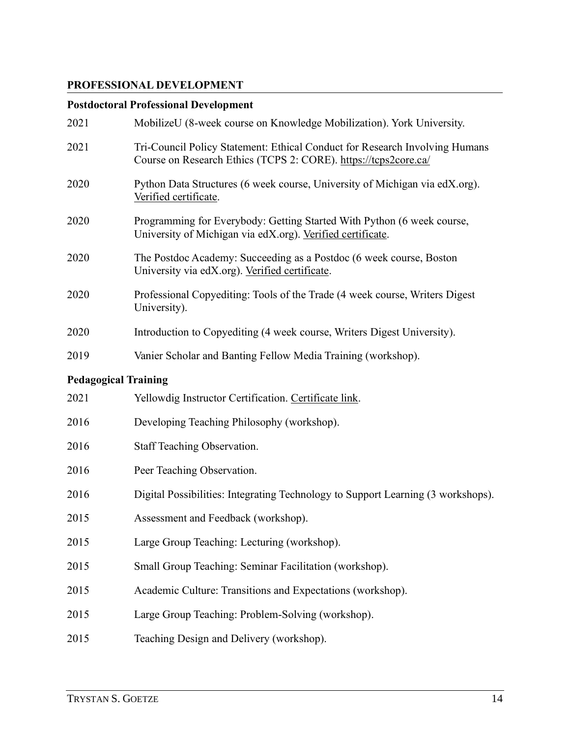# **PROFESSIONAL DEVELOPMENT**

# **Postdoctoral Professional Development**

| 2021 | MobilizeU (8-week course on Knowledge Mobilization). York University.                                                                          |
|------|------------------------------------------------------------------------------------------------------------------------------------------------|
| 2021 | Tri-Council Policy Statement: Ethical Conduct for Research Involving Humans<br>Course on Research Ethics (TCPS 2: CORE). https://tcps2core.ca/ |
| 2020 | Python Data Structures (6 week course, University of Michigan via edX.org).<br>Verified certificate.                                           |
| 2020 | Programming for Everybody: Getting Started With Python (6 week course,<br>University of Michigan via edX.org). Verified certificate.           |
| 2020 | The Postdoc Academy: Succeeding as a Postdoc (6 week course, Boston<br>University via edX.org). Verified certificate.                          |
| 2020 | Professional Copyediting: Tools of the Trade (4 week course, Writers Digest)<br>University).                                                   |
| 2020 | Introduction to Copyediting (4 week course, Writers Digest University).                                                                        |
| 2019 | Vanier Scholar and Banting Fellow Media Training (workshop).                                                                                   |

# **Pedagogical Training**

| 2021 | Yellowdig Instructor Certification. Certificate link.                            |
|------|----------------------------------------------------------------------------------|
| 2016 | Developing Teaching Philosophy (workshop).                                       |
| 2016 | Staff Teaching Observation.                                                      |
| 2016 | Peer Teaching Observation.                                                       |
| 2016 | Digital Possibilities: Integrating Technology to Support Learning (3 workshops). |
| 2015 | Assessment and Feedback (workshop).                                              |
| 2015 | Large Group Teaching: Lecturing (workshop).                                      |
| 2015 | Small Group Teaching: Seminar Facilitation (workshop).                           |
| 2015 | Academic Culture: Transitions and Expectations (workshop).                       |
| 2015 | Large Group Teaching: Problem-Solving (workshop).                                |
| 2015 | Teaching Design and Delivery (workshop).                                         |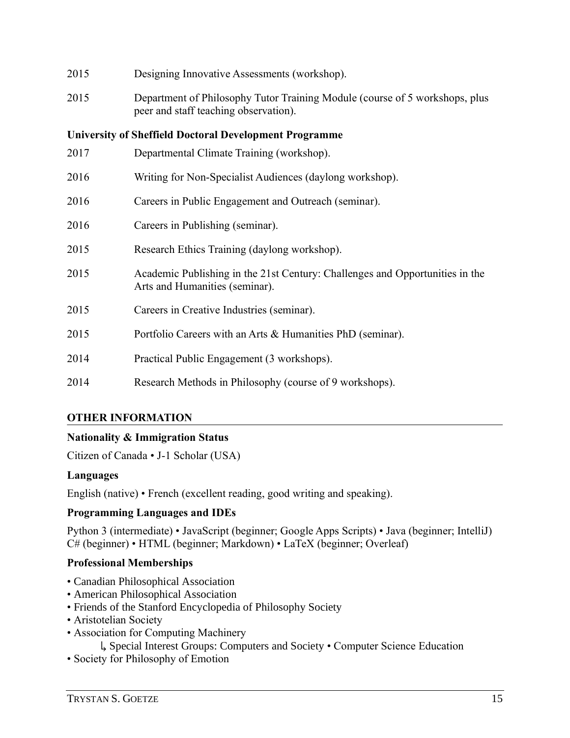| 2015 | Designing Innovative Assessments (workshop).                                                                         |
|------|----------------------------------------------------------------------------------------------------------------------|
| 2015 | Department of Philosophy Tutor Training Module (course of 5 workshops, plus<br>peer and staff teaching observation). |
|      | <b>University of Sheffield Doctoral Development Programme</b>                                                        |
| 2017 | Departmental Climate Training (workshop).                                                                            |
| 2016 | Writing for Non-Specialist Audiences (daylong workshop).                                                             |
| 2016 | Careers in Public Engagement and Outreach (seminar).                                                                 |
| 2016 | Careers in Publishing (seminar).                                                                                     |
| 2015 | Research Ethics Training (daylong workshop).                                                                         |
| 2015 | Academic Publishing in the 21st Century: Challenges and Opportunities in the<br>Arts and Humanities (seminar).       |
| 2015 | Careers in Creative Industries (seminar).                                                                            |
| 2015 | Portfolio Careers with an Arts & Humanities PhD (seminar).                                                           |
| 2014 | Practical Public Engagement (3 workshops).                                                                           |
| 2014 | Research Methods in Philosophy (course of 9 workshops).                                                              |

# **OTHER INFORMATION**

## **Nationality & Immigration Status**

Citizen of Canada • J-1 Scholar (USA)

## **Languages**

English (native) • French (excellent reading, good writing and speaking).

# **Programming Languages and IDEs**

Python 3 (intermediate) • JavaScript (beginner; Google Apps Scripts) • Java (beginner; IntelliJ) C# (beginner) • HTML (beginner; Markdown) • LaTeX (beginner; Overleaf)

# **Professional Memberships**

- Canadian Philosophical Association
- American Philosophical Association
- Friends of the Stanford Encyclopedia of Philosophy Society
- Aristotelian Society
- Association for Computing Machinery
	- ↳ Special Interest Groups: Computers and Society Computer Science Education
- Society for Philosophy of Emotion